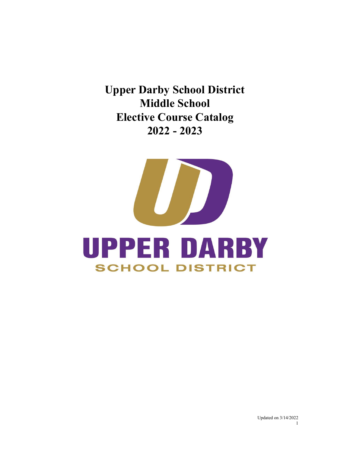**Upper Darby School District Middle School Elective Course Catalog 2022 - 2023**

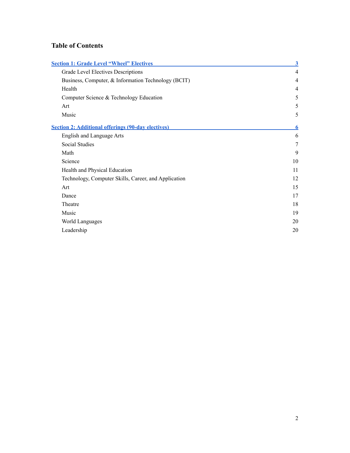## **Table of Contents**

| <b>Section 1: Grade Level "Wheel" Electives</b>           | $\overline{\mathbf{3}}$ |
|-----------------------------------------------------------|-------------------------|
| Grade Level Electives Descriptions                        | $\overline{4}$          |
| Business, Computer, & Information Technology (BCIT)       | $\overline{4}$          |
| Health                                                    | $\overline{4}$          |
| Computer Science & Technology Education                   | 5                       |
| Art                                                       | 5                       |
| Music                                                     | 5                       |
| <b>Section 2: Additional offerings (90-day electives)</b> | 6                       |
| <b>English and Language Arts</b>                          | 6                       |
| Social Studies                                            | 7                       |
| Math                                                      | 9                       |
| Science                                                   | 10                      |
| Health and Physical Education                             | 11                      |
| Technology, Computer Skills, Career, and Application      | 12                      |
| Art                                                       | 15                      |
| Dance                                                     | 17                      |
| Theatre                                                   | 18                      |
| Music                                                     | 19                      |
| World Languages                                           | 20                      |
| Leadership                                                | 20                      |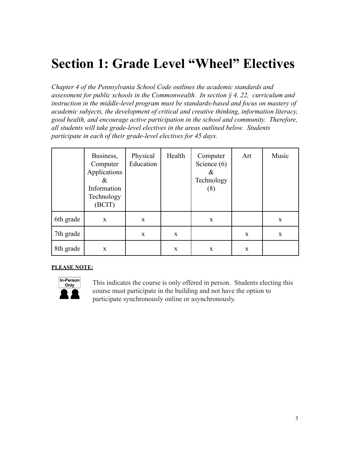# <span id="page-2-0"></span>**Section 1: Grade Level "Wheel" Electives**

*Chapter 4 of the Pennsylvania School Code outlines the academic standards and assessment for public schools in the Commonwealth. In section § 4. 22, curriculum and instruction in the middle-level program must be standards-based and focus on mastery of academic subjects, the development of critical and creative thinking, information literacy, good health, and encourage active participation in the school and community. Therefore, all students will take grade-level electives in the areas outlined below. Students participate in each of their grade-level electives for 45 days.*

|           | Business,<br>Computer<br>Applications<br>&<br>Information<br>Technology<br>(BCIT) | Physical<br>Education | Health       | Computer<br>Science $(6)$<br>$\&$<br>Technology<br>(8) | Art          | Music |
|-----------|-----------------------------------------------------------------------------------|-----------------------|--------------|--------------------------------------------------------|--------------|-------|
| 6th grade | X                                                                                 | X                     |              | X                                                      |              | X     |
| 7th grade |                                                                                   | X                     | $\mathbf{X}$ |                                                        | $\mathbf{x}$ | X     |
| 8th grade | X                                                                                 |                       | X            | X                                                      | $\mathbf{x}$ |       |

#### **PLEASE NOTE:**



This indicates the course is only offered in person. Students electing this course must participate in the building and not have the option to participate synchronously online or asynchronously.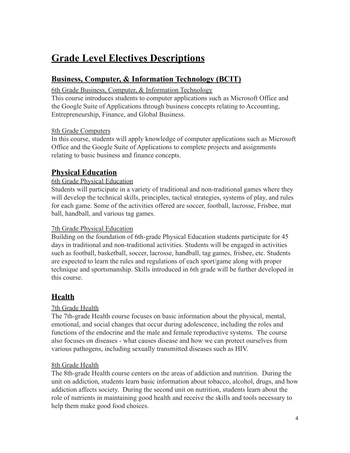# <span id="page-3-0"></span>**Grade Level Electives Descriptions**

# <span id="page-3-1"></span>**Business, Computer, & Information Technology (BCIT)**

#### 6th Grade Business, Computer, & Information Technology

This course introduces students to computer applications such as Microsoft Office and the Google Suite of Applications through business concepts relating to Accounting, Entrepreneurship, Finance, and Global Business.

#### 8th Grade Computers

In this course, students will apply knowledge of computer applications such as Microsoft Office and the Google Suite of Applications to complete projects and assignments relating to basic business and finance concepts.

# **Physical Education**

#### 6th Grade Physical Education

Students will participate in a variety of traditional and non-traditional games where they will develop the technical skills, principles, tactical strategies, systems of play, and rules for each game. Some of the activities offered are soccer, football, lacrosse, Frisbee, mat ball, handball, and various tag games.

#### 7th Grade Physical Education

Building on the foundation of 6th-grade Physical Education students participate for 45 days in traditional and non-traditional activities. Students will be engaged in activities such as football, basketball, soccer, lacrosse, handball, tag games, frisbee, etc. Students are expected to learn the rules and regulations of each sport/game along with proper technique and sportsmanship. Skills introduced in 6th grade will be further developed in this course.

# <span id="page-3-2"></span>**Health**

#### 7th Grade Health

The 7th-grade Health course focuses on basic information about the physical, mental, emotional, and social changes that occur during adolescence, including the roles and functions of the endocrine and the male and female reproductive systems. The course also focuses on diseases - what causes disease and how we can protect ourselves from various pathogens, including sexually transmitted diseases such as HIV.

#### 8th Grade Health

The 8th-grade Health course centers on the areas of addiction and nutrition. During the unit on addiction, students learn basic information about tobacco, alcohol, drugs, and how addiction affects society. During the second unit on nutrition, students learn about the role of nutrients in maintaining good health and receive the skills and tools necessary to help them make good food choices.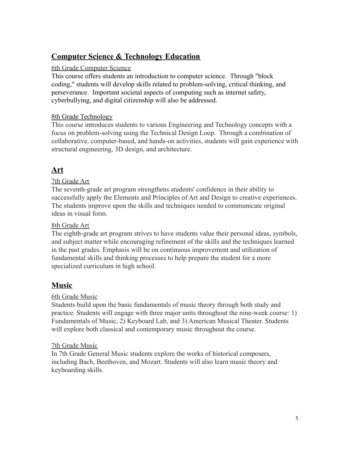# <span id="page-4-0"></span>**Computer Science & Technology Education**

#### 6th Grade Computer Science

This course offers students an introduction to computer science. Through "block coding," students will develop skills related to problem-solving, critical thinking, and perseverance. Important societal aspects of computing such as internet safety, cyberbullying, and digital citizenship will also be addressed.

#### 8th Grade Technology

This course introduces students to various Engineering and Technology concepts with a focus on problem-solving using the Technical Design Loop. Through a combination of collaborative, computer-based, and hands-on activities, students will gain experience with structural engineering, 3D design, and architecture.

# <span id="page-4-1"></span>**Art**

#### 7th Grade Art

The seventh-grade art program strengthens students' confidence in their ability to successfully apply the Elements and Principles of Art and Design to creative experiences. The students improve upon the skills and techniques needed to communicate original ideas in visual form.

#### 8th Grade Art

The eighth-grade art program strives to have students value their personal ideas, symbols, and subject matter while encouraging refinement of the skills and the techniques learned in the past grades. Emphasis will be on continuous improvement and utilization of fundamental skills and thinking processes to help prepare the student for a more specialized curriculum in high school.

#### <span id="page-4-2"></span>**Music**

#### 6th Grade Music

Students build upon the basic fundamentals of music theory through both study and practice. Students will engage with three major units throughout the nine-week course: 1) Fundamentals of Music, 2) Keyboard Lab, and 3) American Musical Theater. Students will explore both classical and contemporary music throughout the course.

#### 7th Grade Music

In 7th Grade General Music students explore the works of historical composers, including Bach, Beethoven, and Mozart. Students will also learn music theory and keyboarding skills.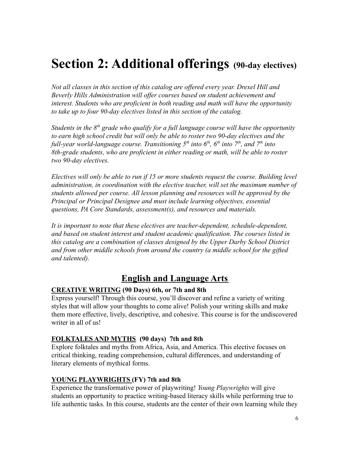# <span id="page-5-0"></span>**Section 2: Additional offerings (90-day electives)**

*Not all classes in this section of this catalog are offered every year. Drexel Hill and Beverly Hills Administration will offer courses based on student achievement and interest. Students who are proficient in both reading and math will have the opportunity to take up to four 90-day electives listed in this section of the catalog.*

*Students in the 8th grade who qualify for a full language course will have the opportunity to earn high school credit but will only be able to roster two 90-day electives and the full-year world-language course. Transitioning 5th into 6th , 6th into 7th , and 7th into 8th-grade students, who are proficient in either reading or math, will be able to roster two 90-day electives.*

*Electives will only be able to run if 15 or more students request the course. Building level administration, in coordination with the elective teacher, will set the maximum number of students allowed per course. All lesson planning and resources will be approved by the Principal or Principal Designee and must include learning objectives, essential questions, PA Core Standards, assessment(s), and resources and materials.*

*It is important to note that these electives are teacher-dependent, schedule-dependent, and based on student interest and student academic qualification. The courses listed in this catalog are a combination of classes designed by the Upper Darby School District and from other middle schools from around the country (a middle school for the gifted and talented).*

# **English and Language Arts**

#### <span id="page-5-1"></span>**CREATIVE WRITING (90 Days) 6th, or 7th and 8th**

Express yourself! Through this course, you'll discover and refine a variety of writing styles that will allow your thoughts to come alive! Polish your writing skills and make them more effective, lively, descriptive, and cohesive. This course is for the undiscovered writer in all of us!

#### **FOLKTALES AND MYTHS (90 days) 7th and 8th**

Explore folktales and myths from Africa, Asia, and America. This elective focuses on critical thinking, reading comprehension, cultural differences, and understanding of literary elements of mythical forms.

#### **YOUNG PLAYWRIGHTS (FY) 7th and 8th**

Experience the transformative power of playwriting! *Young Playwrights* will give students an opportunity to practice writing-based literacy skills while performing true to life authentic tasks. In this course, students are the center of their own learning while they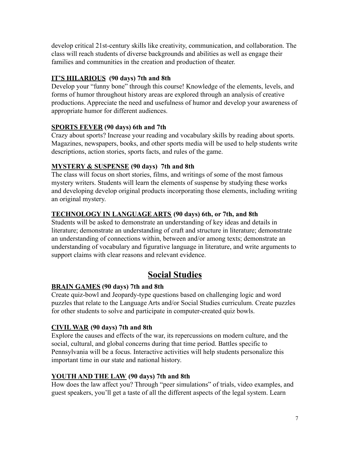develop critical 21st-century skills like creativity, communication, and collaboration. The class will reach students of diverse backgrounds and abilities as well as engage their families and communities in the creation and production of theater.

#### **IT'S HILARIOUS (90 days) 7th and 8th**

Develop your "funny bone" through this course! Knowledge of the elements, levels, and forms of humor throughout history areas are explored through an analysis of creative productions. Appreciate the need and usefulness of humor and develop your awareness of appropriate humor for different audiences.

#### **SPORTS FEVER (90 days) 6th and 7th**

Crazy about sports? Increase your reading and vocabulary skills by reading about sports. Magazines, newspapers, books, and other sports media will be used to help students write descriptions, action stories, sports facts, and rules of the game.

#### **MYSTERY & SUSPENSE (90 days) 7th and 8th**

The class will focus on short stories, films, and writings of some of the most famous mystery writers. Students will learn the elements of suspense by studying these works and developing develop original products incorporating those elements, including writing an original mystery.

#### **TECHNOLOGY IN LANGUAGE ARTS (90 days) 6th, or 7th, and 8th**

Students will be asked to demonstrate an understanding of key ideas and details in literature; demonstrate an understanding of craft and structure in literature; demonstrate an understanding of connections within, between and/or among texts; demonstrate an understanding of vocabulary and figurative language in literature, and write arguments to support claims with clear reasons and relevant evidence.

# **Social Studies**

#### <span id="page-6-0"></span>**BRAIN GAMES (90 days) 7th and 8th**

Create quiz-bowl and Jeopardy-type questions based on challenging logic and word puzzles that relate to the Language Arts and/or Social Studies curriculum. Create puzzles for other students to solve and participate in computer-created quiz bowls.

#### **CIVIL WAR (90 days) 7th and 8th**

Explore the causes and effects of the war, its repercussions on modern culture, and the social, cultural, and global concerns during that time period. Battles specific to Pennsylvania will be a focus. Interactive activities will help students personalize this important time in our state and national history.

#### **YOUTH AND THE LAW (90 days) 7th and 8th**

How does the law affect you? Through "peer simulations" of trials, video examples, and guest speakers, you'll get a taste of all the different aspects of the legal system. Learn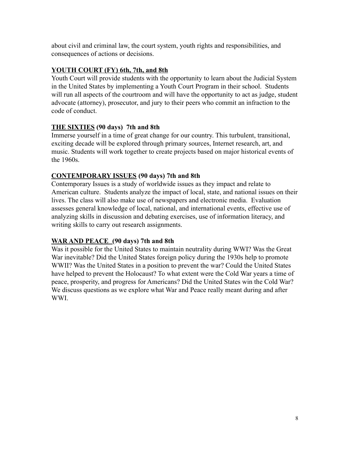about civil and criminal law, the court system, youth rights and responsibilities, and consequences of actions or decisions.

#### **YOUTH COURT (FY) 6th, 7th, and 8th**

Youth Court will provide students with the opportunity to learn about the Judicial System in the United States by implementing a Youth Court Program in their school. Students will run all aspects of the courtroom and will have the opportunity to act as judge, student advocate (attorney), prosecutor, and jury to their peers who commit an infraction to the code of conduct.

#### **THE SIXTIES (90 days) 7th and 8th**

Immerse yourself in a time of great change for our country. This turbulent, transitional, exciting decade will be explored through primary sources, Internet research, art, and music. Students will work together to create projects based on major historical events of the 1960s.

#### **CONTEMPORARY ISSUES (90 days) 7th and 8th**

Contemporary Issues is a study of worldwide issues as they impact and relate to American culture. Students analyze the impact of local, state, and national issues on their lives. The class will also make use of newspapers and electronic media. Evaluation assesses general knowledge of local, national, and international events, effective use of analyzing skills in discussion and debating exercises, use of information literacy, and writing skills to carry out research assignments.

#### **WAR AND PEACE (90 days) 7th and 8th**

Was it possible for the United States to maintain neutrality during WWI? Was the Great War inevitable? Did the United States foreign policy during the 1930s help to promote WWII? Was the United States in a position to prevent the war? Could the United States have helped to prevent the Holocaust? To what extent were the Cold War years a time of peace, prosperity, and progress for Americans? Did the United States win the Cold War? We discuss questions as we explore what War and Peace really meant during and after WWI.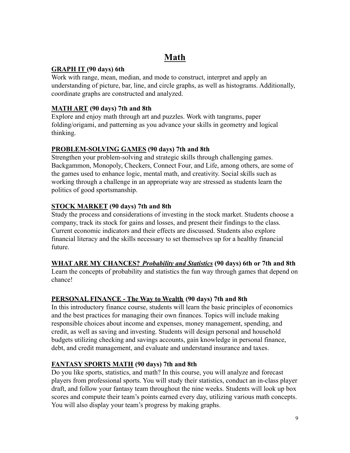# **Math**

#### <span id="page-8-0"></span>**GRAPH IT (90 days) 6th**

Work with range, mean, median, and mode to construct, interpret and apply an understanding of picture, bar, line, and circle graphs, as well as histograms. Additionally, coordinate graphs are constructed and analyzed.

#### **MATH ART (90 days) 7th and 8th**

Explore and enjoy math through art and puzzles. Work with tangrams, paper folding/origami, and patterning as you advance your skills in geometry and logical thinking.

#### **PROBLEM-SOLVING GAMES (90 days) 7th and 8th**

Strengthen your problem-solving and strategic skills through challenging games. Backgammon, Monopoly, Checkers, Connect Four, and Life, among others, are some of the games used to enhance logic, mental math, and creativity. Social skills such as working through a challenge in an appropriate way are stressed as students learn the politics of good sportsmanship.

#### **STOCK MARKET (90 days) 7th and 8th**

Study the process and considerations of investing in the stock market. Students choose a company, track its stock for gains and losses, and present their findings to the class. Current economic indicators and their effects are discussed. Students also explore financial literacy and the skills necessary to set themselves up for a healthy financial future.

#### **WHAT ARE MY CHANCES?** *Probability and Statistics* **(90 days) 6th or 7th and 8th**

Learn the concepts of probability and statistics the fun way through games that depend on chance!

#### **PERSONAL FINANCE - The Way to Wealth (90 days) 7th and 8th**

In this introductory finance course, students will learn the basic principles of economics and the best practices for managing their own finances. Topics will include making responsible choices about income and expenses, money management, spending, and credit, as well as saving and investing. Students will design personal and household budgets utilizing checking and savings accounts, gain knowledge in personal finance, debt, and credit management, and evaluate and understand insurance and taxes.

#### **FANTASY SPORTS MATH (90 days) 7th and 8th**

Do you like sports, statistics, and math? In this course, you will analyze and forecast players from professional sports. You will study their statistics, conduct an in-class player draft, and follow your fantasy team throughout the nine weeks. Students will look up box scores and compute their team's points earned every day, utilizing various math concepts. You will also display your team's progress by making graphs.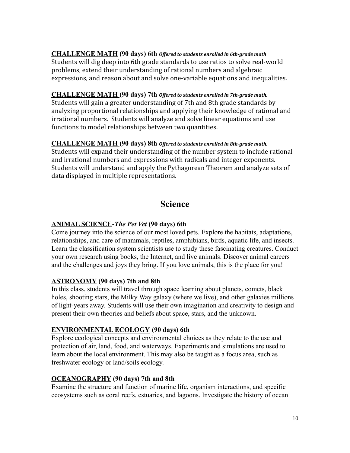**CHALLENGE MATH (90 days) 6th** *Offered to students enrolled in 6th-grade math*

Students will dig deep into 6th grade standards to use ratios to solve real-world problems, extend their understanding of rational numbers and algebraic expressions, and reason about and solve one-variable equations and inequalities.

#### **CHALLENGE MATH (90 days) 7th** *Offered to students enrolled in 7th-grade math.*

Students will gain a greater understanding of 7th and 8th grade standards by analyzing proportional relationships and applying their knowledge of rational and irrational numbers. Students will analyze and solve linear equations and use functions to model relationships between two quantities.

#### **CHALLENGE MATH (90 days) 8th** *Offered to students enrolled in 8th-grade math.*

Students will expand their understanding of the number system to include rational and irrational numbers and expressions with radicals and integer exponents. Students will understand and apply the Pythagorean Theorem and analyze sets of data displayed in multiple representations.

# **Science**

#### <span id="page-9-0"></span>**ANIMAL SCIENCE-***The Pet Vet* **(90 days) 6th**

Come journey into the science of our most loved pets. Explore the habitats, adaptations, relationships, and care of mammals, reptiles, amphibians, birds, aquatic life, and insects. Learn the classification system scientists use to study these fascinating creatures. Conduct your own research using books, the Internet, and live animals. Discover animal careers and the challenges and joys they bring. If you love animals, this is the place for you!

#### **ASTRONOMY (90 days) 7th and 8th**

In this class, students will travel through space learning about planets, comets, black holes, shooting stars, the Milky Way galaxy (where we live), and other galaxies millions of light-years away. Students will use their own imagination and creativity to design and present their own theories and beliefs about space, stars, and the unknown.

#### **ENVIRONMENTAL ECOLOGY (90 days) 6th**

Explore ecological concepts and environmental choices as they relate to the use and protection of air, land, food, and waterways. Experiments and simulations are used to learn about the local environment. This may also be taught as a focus area, such as freshwater ecology or land/soils ecology.

#### **OCEANOGRAPHY (90 days) 7th and 8th**

Examine the structure and function of marine life, organism interactions, and specific ecosystems such as coral reefs, estuaries, and lagoons. Investigate the history of ocean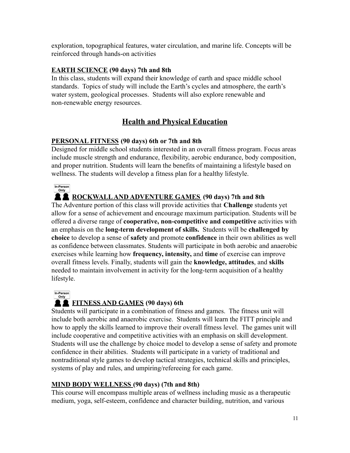exploration, topographical features, water circulation, and marine life. Concepts will be reinforced through hands-on activities

#### **EARTH SCIENCE (90 days) 7th and 8th**

In this class, students will expand their knowledge of earth and space middle school standards. Topics of study will include the Earth's cycles and atmosphere, the earth's water system, geological processes. Students will also explore renewable and non-renewable energy resources.

# **Health and Physical Education**

#### <span id="page-10-0"></span>**PERSONAL FITNESS (90 days) 6th or 7th and 8th**

Designed for middle school students interested in an overall fitness program. Focus areas include muscle strength and endurance, flexibility, aerobic endurance, body composition, and proper nutrition. Students will learn the benefits of maintaining a lifestyle based on wellness. The students will develop a fitness plan for a healthy lifestyle.

In-Person

## **ROCKWALLAND ADVENTURE GAMES (90 days) 7th and 8th**

The Adventure portion of this class will provide activities that **Challenge** students yet allow for a sense of achievement and encourage maximum participation. Students will be offered a diverse range of **cooperative, non-competitive and competitive** activities with an emphasis on the **long-term development of skills.** Students will be **challenged by choice** to develop a sense of **safety** and promote **confidence** in their own abilities as well as confidence between classmates. Students will participate in both aerobic and anaerobic exercises while learning how **frequency, intensity,** and **time** of exercise can improve overall fitness levels. Finally, students will gain the **knowledge, attitudes**, and **skills** needed to maintain involvement in activity for the long-term acquisition of a healthy lifestyle.

In-Person

# **FITNESS AND GAMES (90 days) 6th**

Students will participate in a combination of fitness and games. The fitness unit will include both aerobic and anaerobic exercise. Students will learn the FITT principle and how to apply the skills learned to improve their overall fitness level. The games unit will include cooperative and competitive activities with an emphasis on skill development. Students will use the challenge by choice model to develop a sense of safety and promote confidence in their abilities. Students will participate in a variety of traditional and nontraditional style games to develop tactical strategies, technical skills and principles, systems of play and rules, and umpiring/refereeing for each game.

#### **MIND BODY WELLNESS (90 days) (7th and 8th)**

This course will encompass multiple areas of wellness including music as a therapeutic medium, yoga, self-esteem, confidence and character building, nutrition, and various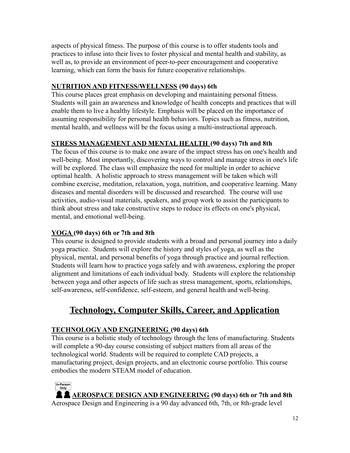aspects of physical fitness. The purpose of this course is to offer students tools and practices to infuse into their lives to foster physical and mental health and stability, as well as, to provide an environment of peer-to-peer encouragement and cooperative learning, which can form the basis for future cooperative relationships.

#### **NUTRITION AND FITNESS/WELLNESS (90 days) 6th**

This course places great emphasis on developing and maintaining personal fitness. Students will gain an awareness and knowledge of health concepts and practices that will enable them to live a healthy lifestyle. Emphasis will be placed on the importance of assuming responsibility for personal health behaviors. Topics such as fitness, nutrition, mental health, and wellness will be the focus using a multi-instructional approach.

#### **STRESS MANAGEMENT AND MENTAL HEALTH (90 days) 7th and 8th**

The focus of this course is to make one aware of the impact stress has on one's health and well-being. Most importantly, discovering ways to control and manage stress in one's life will be explored. The class will emphasize the need for multiple in order to achieve optimal health. A holistic approach to stress management will be taken which will combine exercise, meditation, relaxation, yoga, nutrition, and cooperative learning. Many diseases and mental disorders will be discussed and researched. The course will use activities, audio-visual materials, speakers, and group work to assist the participants to think about stress and take constructive steps to reduce its effects on one's physical, mental, and emotional well-being.

#### **YOGA (90 days) 6th or 7th and 8th**

This course is designed to provide students with a broad and personal journey into a daily yoga practice. Students will explore the history and styles of yoga, as well as the physical, mental, and personal benefits of yoga through practice and journal reflection. Students will learn how to practice yoga safely and with awareness, exploring the proper alignment and limitations of each individual body. Students will explore the relationship between yoga and other aspects of life such as stress management, sports, relationships, self-awareness, self-confidence, self-esteem, and general health and well-being.

# <span id="page-11-0"></span>**Technology, Computer Skills, Career, and Application**

#### **TECHNOLOGY AND ENGINEERING (90 days) 6th**

This course is a holistic study of technology through the lens of manufacturing. Students will complete a 90-day course consisting of subject matters from all areas of the technological world. Students will be required to complete CAD projects, a manufacturing project, design projects, and an electronic course portfolio. This course embodies the modern STEAM model of education.

# In-Person<br>Only **AEROSPACE DESIGN AND ENGINEERING (90 days) 6th or 7th and 8th**

Aerospace Design and Engineering is a 90 day advanced 6th, 7th, or 8th-grade level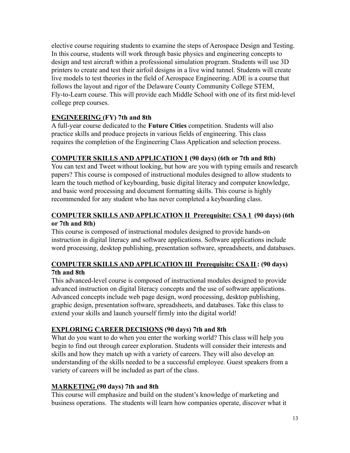elective course requiring students to examine the steps of Aerospace Design and Testing. In this course, students will work through basic physics and engineering concepts to design and test aircraft within a professional simulation program. Students will use 3D printers to create and test their airfoil designs in a live wind tunnel. Students will create live models to test theories in the field of Aerospace Engineering. ADE is a course that follows the layout and rigor of the Delaware County Community College STEM, Fly-to-Learn course. This will provide each Middle School with one of its first mid-level college prep courses.

#### **ENGINEERING (FY) 7th and 8th**

A full-year course dedicated to the **Future Cities** competition. Students will also practice skills and produce projects in various fields of engineering. This class requires the completion of the Engineering Class Application and selection process.

#### **COMPUTER SKILLS AND APPLICATION I (90 days) (6th or 7th and 8th)**

You can text and Tweet without looking, but how are you with typing emails and research papers? This course is composed of instructional modules designed to allow students to learn the touch method of keyboarding, basic digital literacy and computer knowledge, and basic word processing and document formatting skills. This course is highly recommended for any student who has never completed a keyboarding class.

#### **COMPUTER SKILLS AND APPLICATION II Prerequisite: CSA 1 (90 days) (6th or 7th and 8th)**

This course is composed of instructional modules designed to provide hands-on instruction in digital literacy and software applications. Software applications include word processing, desktop publishing, presentation software, spreadsheets, and databases.

#### **COMPUTER SKILLS AND APPLICATION III Prerequisite: CSA II: (90 days) 7th and 8th**

This advanced-level course is composed of instructional modules designed to provide advanced instruction on digital literacy concepts and the use of software applications. Advanced concepts include web page design, word processing, desktop publishing, graphic design, presentation software, spreadsheets, and databases. Take this class to extend your skills and launch yourself firmly into the digital world!

#### **EXPLORING CAREER DECISIONS (90 days) 7th and 8th**

What do you want to do when you enter the working world? This class will help you begin to find out through career exploration. Students will consider their interests and skills and how they match up with a variety of careers. They will also develop an understanding of the skills needed to be a successful employee. Guest speakers from a variety of careers will be included as part of the class.

#### **MARKETING (90 days) 7th and 8th**

This course will emphasize and build on the student's knowledge of marketing and business operations. The students will learn how companies operate, discover what it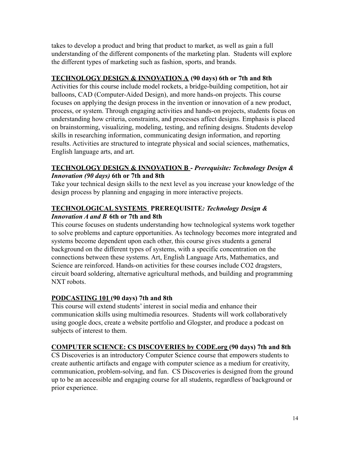takes to develop a product and bring that product to market, as well as gain a full understanding of the different components of the marketing plan. Students will explore the different types of marketing such as fashion, sports, and brands.

#### **TECHNOLOGY DESIGN & INNOVATION A (90 days) 6th or 7th and 8th**

Activities for this course include model rockets, a bridge-building competition, hot air balloons, CAD (Computer-Aided Design), and more hands-on projects. This course focuses on applying the design process in the invention or innovation of a new product, process, or system. Through engaging activities and hands-on projects, students focus on understanding how criteria, constraints, and processes affect designs. Emphasis is placed on brainstorming, visualizing, modeling, testing, and refining designs. Students develop skills in researching information, communicating design information, and reporting results. Activities are structured to integrate physical and social sciences, mathematics, English language arts, and art.

#### **TECHNOLOGY DESIGN & INNOVATION B -** *Prerequisite: Technology Design & Innovation (90 days)* **6th or 7th and 8th**

Take your technical design skills to the next level as you increase your knowledge of the design process by planning and engaging in more interactive projects.

#### **TECHNOLOGICAL SYSTEMS PREREQUISITE***: Technology Design & Innovation A and B* **6th or 7th and 8th**

This course focuses on students understanding how technological systems work together to solve problems and capture opportunities. As technology becomes more integrated and systems become dependent upon each other, this course gives students a general background on the different types of systems, with a specific concentration on the connections between these systems. Art, English Language Arts, Mathematics, and Science are reinforced. Hands-on activities for these courses include CO2 dragsters, circuit board soldering, alternative agricultural methods, and building and programming NXT robots.

#### **PODCASTING 101 (90 days) 7th and 8th**

This course will extend students' interest in social media and enhance their communication skills using multimedia resources. Students will work collaboratively using google docs, create a website portfolio and Glogster, and produce a podcast on subjects of interest to them.

#### **COMPUTER SCIENCE: CS DISCOVERIES by CODE.org (90 days) 7th and 8th**

CS Discoveries is an introductory Computer Science course that empowers students to create authentic artifacts and engage with computer science as a medium for creativity, communication, problem-solving, and fun. CS Discoveries is designed from the ground up to be an accessible and engaging course for all students, regardless of background or prior experience.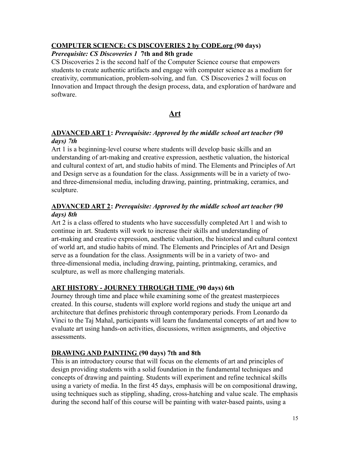#### **COMPUTER SCIENCE: CS DISCOVERIES 2 by CODE.org (90 days)**

#### *Prerequisite: CS Discoveries 1* **7th and 8th grade**

CS Discoveries 2 is the second half of the Computer Science course that empowers students to create authentic artifacts and engage with computer science as a medium for creativity, communication, problem-solving, and fun. CS Discoveries 2 will focus on Innovation and Impact through the design process, data, and exploration of hardware and software.

#### **Art**

#### <span id="page-14-0"></span>**ADVANCED ART 1:** *Prerequisite: Approved by the middle school art teacher (90 days) 7th*

Art 1 is a beginning-level course where students will develop basic skills and an understanding of art-making and creative expression, aesthetic valuation, the historical and cultural context of art, and studio habits of mind. The Elements and Principles of Art and Design serve as a foundation for the class. Assignments will be in a variety of twoand three-dimensional media, including drawing, painting, printmaking, ceramics, and sculpture.

#### **ADVANCED ART 2:** *Prerequisite: Approved by the middle school art teacher (90 days) 8th*

Art 2 is a class offered to students who have successfully completed Art 1 and wish to continue in art. Students will work to increase their skills and understanding of art-making and creative expression, aesthetic valuation, the historical and cultural context of world art, and studio habits of mind. The Elements and Principles of Art and Design serve as a foundation for the class. Assignments will be in a variety of two- and three-dimensional media, including drawing, painting, printmaking, ceramics, and sculpture, as well as more challenging materials.

#### **ART HISTORY - JOURNEY THROUGH TIME (90 days) 6th**

Journey through time and place while examining some of the greatest masterpieces created. In this course, students will explore world regions and study the unique art and architecture that defines prehistoric through contemporary periods. From Leonardo da Vinci to the Taj Mahal, participants will learn the fundamental concepts of art and how to evaluate art using hands-on activities, discussions, written assignments, and objective assessments.

#### **DRAWING AND PAINTING (90 days) 7th and 8th**

This is an introductory course that will focus on the elements of art and principles of design providing students with a solid foundation in the fundamental techniques and concepts of drawing and painting. Students will experiment and refine technical skills using a variety of media. In the first 45 days, emphasis will be on compositional drawing, using techniques such as stippling, shading, cross-hatching and value scale. The emphasis during the second half of this course will be painting with water-based paints, using a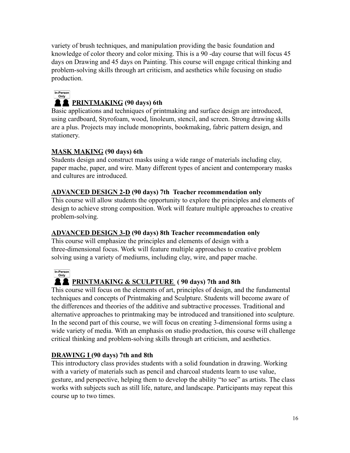variety of brush techniques, and manipulation providing the basic foundation and knowledge of color theory and color mixing. This is a 90 -day course that will focus 45 days on Drawing and 45 days on Painting. This course will engage critical thinking and problem-solving skills through art criticism, and aesthetics while focusing on studio production.

## In-Person

### **PRINTMAKING (90 days) 6th**

Basic applications and techniques of printmaking and surface design are introduced, using cardboard, Styrofoam, wood, linoleum, stencil, and screen. Strong drawing skills are a plus. Projects may include monoprints, bookmaking, fabric pattern design, and stationery.

#### **MASK MAKING (90 days) 6th**

Students design and construct masks using a wide range of materials including clay, paper mache, paper, and wire. Many different types of ancient and contemporary masks and cultures are introduced.

#### **ADVANCED DESIGN 2-D (90 days) 7th Teacher recommendation only**

This course will allow students the opportunity to explore the principles and elements of design to achieve strong composition. Work will feature multiple approaches to creative problem-solving.

#### **ADVANCED DESIGN 3-D (90 days) 8th Teacher recommendation only**

This course will emphasize the principles and elements of design with a three-dimensional focus. Work will feature multiple approaches to creative problem solving using a variety of mediums, including clay, wire, and paper mache.



#### **A PRINTMAKING & SCULPTURE** (90 days) 7th and 8th

This course will focus on the elements of art, principles of design, and the fundamental techniques and concepts of Printmaking and Sculpture. Students will become aware of the differences and theories of the additive and subtractive processes. Traditional and alternative approaches to printmaking may be introduced and transitioned into sculpture. In the second part of this course, we will focus on creating 3-dimensional forms using a wide variety of media. With an emphasis on studio production, this course will challenge critical thinking and problem-solving skills through art criticism, and aesthetics.

#### **DRAWING I (90 days) 7th and 8th**

This introductory class provides students with a solid foundation in drawing. Working with a variety of materials such as pencil and charcoal students learn to use value, gesture, and perspective, helping them to develop the ability "to see" as artists. The class works with subjects such as still life, nature, and landscape. Participants may repeat this course up to two times.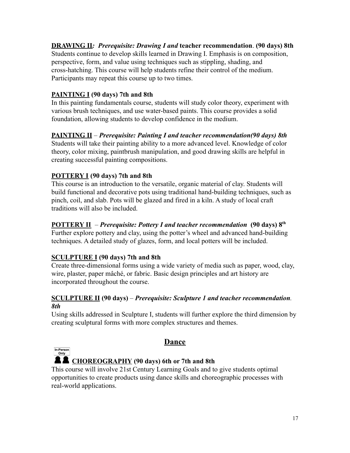#### **DRAWING II***: Prerequisite: Drawing I and* **teacher recommendation**. **(90 days) 8th**

Students continue to develop skills learned in Drawing I. Emphasis is on composition, perspective, form, and value using techniques such as stippling, shading, and cross-hatching. This course will help students refine their control of the medium. Participants may repeat this course up to two times.

#### **PAINTING I (90 days) 7th and 8th**

In this painting fundamentals course, students will study color theory, experiment with various brush techniques, and use water-based paints. This course provides a solid foundation, allowing students to develop confidence in the medium.

#### **PAINTING II** – *Prerequisite: Painting I and teacher recommendation(90 days) 8th*

Students will take their painting ability to a more advanced level. Knowledge of color theory, color mixing, paintbrush manipulation, and good drawing skills are helpful in creating successful painting compositions.

#### **POTTERY I (90 days) 7th and 8th**

This course is an introduction to the versatile, organic material of clay. Students will build functional and decorative pots using traditional hand-building techniques, such as pinch, coil, and slab. Pots will be glazed and fired in a kiln. A study of local craft traditions will also be included.

#### **POTTERY II** – *Prerequisite: Pottery I and teacher recommendation* **(90 days) 8th**

Further explore pottery and clay, using the potter's wheel and advanced hand-building techniques. A detailed study of glazes, form, and local potters will be included.

#### **SCULPTURE I (90 days) 7th and 8th**

Create three-dimensional forms using a wide variety of media such as paper, wood, clay, wire, plaster, paper mâché, or fabric. Basic design principles and art history are incorporated throughout the course.

#### **SCULPTURE II (90 days)** – *Prerequisite: Sculpture 1 and teacher recommendation. 8th*

<span id="page-16-0"></span>Using skills addressed in Sculpture I, students will further explore the third dimension by creating sculptural forms with more complex structures and themes.



#### **Dance**

#### **CHOREOGRAPHY (90 days) 6th or 7th and 8th**

This course will involve 21st Century Learning Goals and to give students optimal opportunities to create products using dance skills and choreographic processes with real-world applications.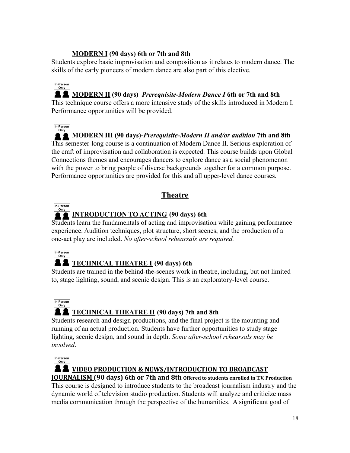#### **MODERN I (90 days) 6th or 7th and 8th**

Students explore basic improvisation and composition as it relates to modern dance. The skills of the early pioneers of modern dance are also part of this elective.

#### In-Person **MODERN II (90 days)** *Prerequisite-Modern Dance I* **6th or 7th and 8th**

This technique course offers a more intensive study of the skills introduced in Modern I. Performance opportunities will be provided.

#### In-Person **MODERN III (90 days)-***Prerequisite-Modern II and/or audition* **7th and 8th** This semester-long course is a continuation of Modern Dance II. Serious exploration of the craft of improvisation and collaboration is expected. This course builds upon Global Connections themes and encourages dancers to explore dance as a social phenomenon with the power to bring people of diverse backgrounds together for a common purpose. Performance opportunities are provided for this and all upper-level dance courses.

# **Theatre**

<span id="page-17-0"></span>

# **INTRODUCTION TO ACTING** (90 days) 6th

Students learn the fundamentals of acting and improvisation while gaining performance experience. Audition techniques, plot structure, short scenes, and the production of a one-act play are included. *No after-school rehearsals are required.*



# **TECHNICAL THEATRE I (90 days) 6th**

Students are trained in the behind-the-scenes work in theatre, including, but not limited to, stage lighting, sound, and scenic design. This is an exploratory-level course.



# **TECHNICAL THEATRE II (90 days) 7th and 8th**

Students research and design productions, and the final project is the mounting and running of an actual production. Students have further opportunities to study stage lighting, scenic design, and sound in depth. *Some after-school rehearsals may be involved*.

In-Person

#### **A 2** VIDEO PRODUCTION & NEWS/INTRODUCTION TO BROADCAST

**JOURNALISM (90 days) 6th or 7th and 8th Offered to students enrolled in T.V. Production** This course is designed to introduce students to the broadcast journalism industry and the dynamic world of television studio production. Students will analyze and criticize mass media communication through the perspective of the humanities. A significant goal of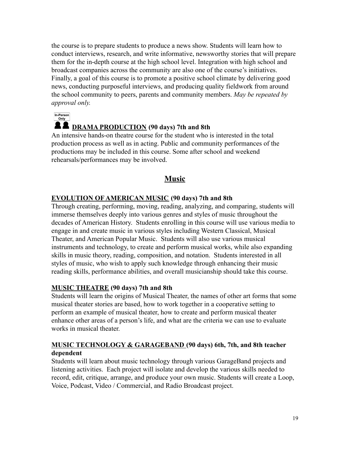the course is to prepare students to produce a news show. Students will learn how to conduct interviews, research, and write informative, newsworthy stories that will prepare them for the in-depth course at the high school level. Integration with high school and broadcast companies across the community are also one of the course's initiatives. Finally, a goal of this course is to promote a positive school climate by delivering good news, conducting purposeful interviews, and producing quality fieldwork from around the school community to peers, parents and community members. *May be repeated by approval only.*

In-Person

#### **DRAMA PRODUCTION (90 days) 7th and 8th**

An intensive hands-on theatre course for the student who is interested in the total production process as well as in acting. Public and community performances of the productions may be included in this course. Some after school and weekend rehearsals/performances may be involved.

# **Music**

#### <span id="page-18-0"></span>**EVOLUTION OF AMERICAN MUSIC (90 days) 7th and 8th**

Through creating, performing, moving, reading, analyzing, and comparing, students will immerse themselves deeply into various genres and styles of music throughout the decades of American History. Students enrolling in this course will use various media to engage in and create music in various styles including Western Classical, Musical Theater, and American Popular Music. Students will also use various musical instruments and technology, to create and perform musical works, while also expanding skills in music theory, reading, composition, and notation. Students interested in all styles of music, who wish to apply such knowledge through enhancing their music reading skills, performance abilities, and overall musicianship should take this course.

#### **MUSIC THEATRE (90 days) 7th and 8th**

Students will learn the origins of Musical Theater, the names of other art forms that some musical theater stories are based, how to work together in a cooperative setting to perform an example of musical theater, how to create and perform musical theater enhance other areas of a person's life, and what are the criteria we can use to evaluate works in musical theater.

#### **MUSIC TECHNOLOGY & GARAGEBAND (90 days) 6th, 7th, and 8th teacher dependent**

Students will learn about music technology through various GarageBand projects and listening activities. Each project will isolate and develop the various skills needed to record, edit, critique, arrange, and produce your own music. Students will create a Loop, Voice, Podcast, Video / Commercial, and Radio Broadcast project.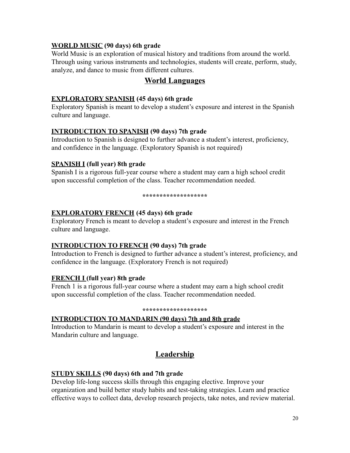#### **WORLD MUSIC (90 days) 6th grade**

World Music is an exploration of musical history and traditions from around the world. Through using various instruments and technologies, students will create, perform, study, analyze, and dance to music from different cultures.

#### **World Languages**

#### <span id="page-19-0"></span>**EXPLORATORY SPANISH (45 days) 6th grade**

Exploratory Spanish is meant to develop a student's exposure and interest in the Spanish culture and language.

#### **INTRODUCTION TO SPANISH (90 days) 7th grade**

Introduction to Spanish is designed to further advance a student's interest, proficiency, and confidence in the language. (Exploratory Spanish is not required)

#### **SPANISH I (full year) 8th grade**

Spanish I is a rigorous full-year course where a student may earn a high school credit upon successful completion of the class. Teacher recommendation needed.

#### **\*\*\*\*\*\*\*\*\*\*\*\*\*\*\*\*\*\*\***

#### **EXPLORATORY FRENCH (45 days) 6th grade**

Exploratory French is meant to develop a student's exposure and interest in the French culture and language.

#### **INTRODUCTION TO FRENCH (90 days) 7th grade**

Introduction to French is designed to further advance a student's interest, proficiency, and confidence in the language. (Exploratory French is not required)

#### **FRENCH I (full year) 8th grade**

French 1 is a rigorous full-year course where a student may earn a high school credit upon successful completion of the class. Teacher recommendation needed.

#### **\*\*\*\*\*\*\*\*\*\*\*\*\*\*\*\*\*\*\***

#### **INTRODUCTION TO MANDARIN (90 days) 7th and 8th grade**

<span id="page-19-1"></span>Introduction to Mandarin is meant to develop a student's exposure and interest in the Mandarin culture and language.

# **Leadership**

#### **STUDY SKILLS (90 days) 6th and 7th grade**

Develop life-long success skills through this engaging elective. Improve your organization and build better study habits and test-taking strategies. Learn and practice effective ways to collect data, develop research projects, take notes, and review material.